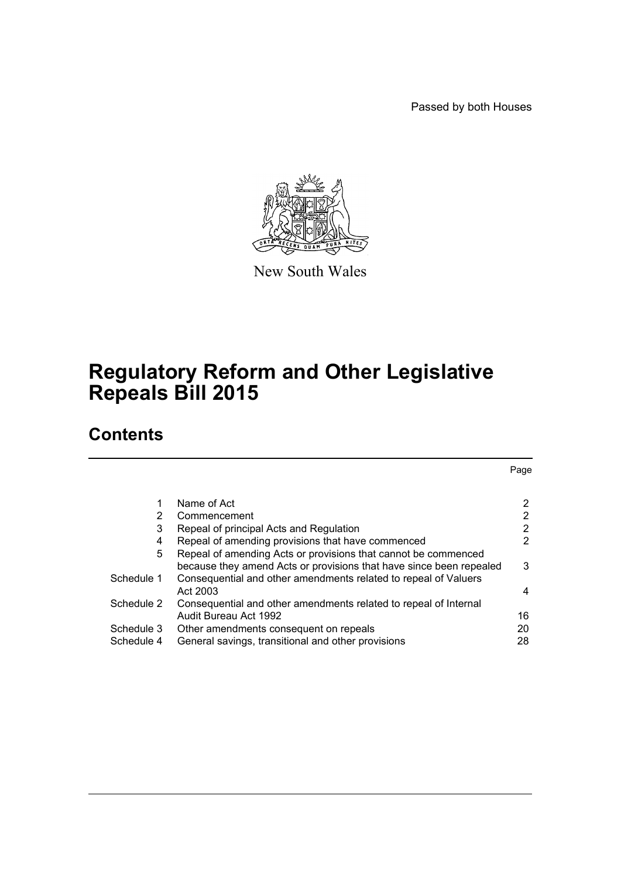Passed by both Houses



New South Wales

# **Regulatory Reform and Other Legislative Repeals Bill 2015**

# **Contents**

Page

| 1          | Name of Act                                                         | 2  |
|------------|---------------------------------------------------------------------|----|
| 2          | Commencement                                                        | 2  |
| 3          | Repeal of principal Acts and Regulation                             | 2  |
| 4          | Repeal of amending provisions that have commenced                   | 2  |
| 5          | Repeal of amending Acts or provisions that cannot be commenced      |    |
|            | because they amend Acts or provisions that have since been repealed | 3  |
| Schedule 1 | Consequential and other amendments related to repeal of Valuers     |    |
|            | Act 2003                                                            | 4  |
| Schedule 2 | Consequential and other amendments related to repeal of Internal    |    |
|            | Audit Bureau Act 1992                                               | 16 |
| Schedule 3 | Other amendments consequent on repeals                              | 20 |
| Schedule 4 | General savings, transitional and other provisions                  | 28 |
|            |                                                                     |    |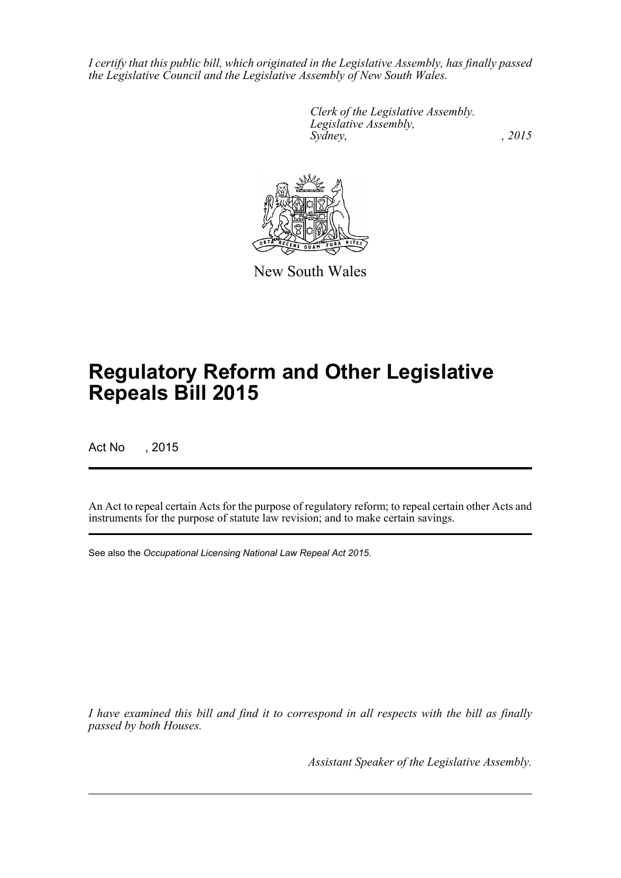*I certify that this public bill, which originated in the Legislative Assembly, has finally passed the Legislative Council and the Legislative Assembly of New South Wales.*

> *Clerk of the Legislative Assembly. Legislative Assembly, Sydney,* , 2015



New South Wales

# **Regulatory Reform and Other Legislative Repeals Bill 2015**

Act No , 2015

An Act to repeal certain Acts for the purpose of regulatory reform; to repeal certain other Acts and instruments for the purpose of statute law revision; and to make certain savings.

See also the *Occupational Licensing National Law Repeal Act 2015*.

*I have examined this bill and find it to correspond in all respects with the bill as finally passed by both Houses.*

*Assistant Speaker of the Legislative Assembly.*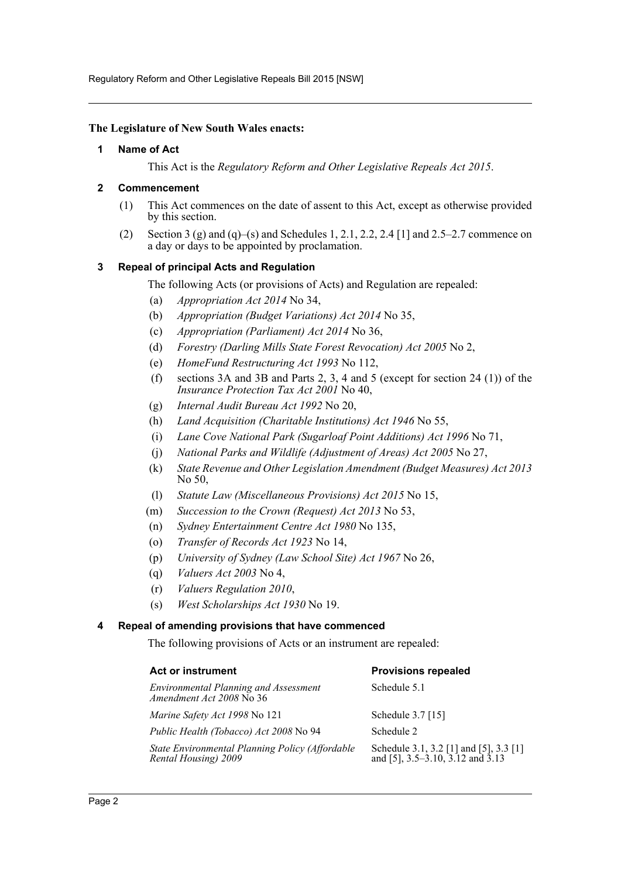Regulatory Reform and Other Legislative Repeals Bill 2015 [NSW]

#### <span id="page-2-0"></span>**The Legislature of New South Wales enacts:**

#### **1 Name of Act**

This Act is the *Regulatory Reform and Other Legislative Repeals Act 2015*.

#### <span id="page-2-1"></span>**2 Commencement**

- (1) This Act commences on the date of assent to this Act, except as otherwise provided by this section.
- (2) Section 3 (g) and (q)–(s) and Schedules 1, 2.1, 2.2, 2.4 [1] and 2.5–2.7 commence on a day or days to be appointed by proclamation.

#### <span id="page-2-2"></span>**3 Repeal of principal Acts and Regulation**

The following Acts (or provisions of Acts) and Regulation are repealed:

- (a) *Appropriation Act 2014* No 34,
- (b) *Appropriation (Budget Variations) Act 2014* No 35,
- (c) *Appropriation (Parliament) Act 2014* No 36,
- (d) *Forestry (Darling Mills State Forest Revocation) Act 2005* No 2,
- (e) *HomeFund Restructuring Act 1993* No 112,
- (f) sections 3A and 3B and Parts 2, 3, 4 and 5 (except for section 24 (1)) of the *Insurance Protection Tax Act 2001* No 40,
- (g) *Internal Audit Bureau Act 1992* No 20,
- (h) *Land Acquisition (Charitable Institutions) Act 1946* No 55,
- (i) *Lane Cove National Park (Sugarloaf Point Additions) Act 1996* No 71,
- (j) *National Parks and Wildlife (Adjustment of Areas) Act 2005* No 27,
- (k) *State Revenue and Other Legislation Amendment (Budget Measures) Act 2013* No 50,
- (l) *Statute Law (Miscellaneous Provisions) Act 2015* No 15,
- (m) *Succession to the Crown (Request) Act 2013* No 53,
- (n) *Sydney Entertainment Centre Act 1980* No 135,
- (o) *Transfer of Records Act 1923* No 14,
- (p) *University of Sydney (Law School Site) Act 1967* No 26,
- (q) *Valuers Act 2003* No 4,
- (r) *Valuers Regulation 2010*,
- (s) *West Scholarships Act 1930* No 19.

#### <span id="page-2-3"></span>**4 Repeal of amending provisions that have commenced**

The following provisions of Acts or an instrument are repealed:

| Act or instrument                                                        | <b>Provisions repealed</b>                                                 |
|--------------------------------------------------------------------------|----------------------------------------------------------------------------|
| <b>Environmental Planning and Assessment</b><br>Amendment Act 2008 No 36 | Schedule 5.1                                                               |
| <i>Marine Safety Act 1998</i> No 121                                     | Schedule 3.7 [15]                                                          |
| Public Health (Tobacco) Act 2008 No 94                                   | Schedule 2                                                                 |
| State Environmental Planning Policy (Affordable<br>Rental Housing) 2009  | Schedule 3.1, 3.2 [1] and [5], 3.3 [1]<br>and [5], 3.5–3.10, 3.12 and 3.13 |
|                                                                          |                                                                            |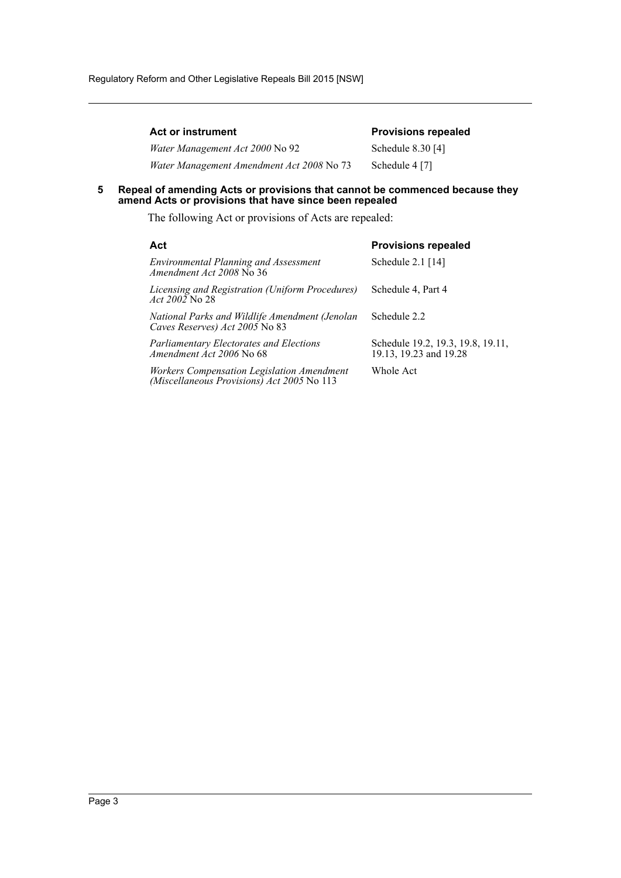| <b>Act or instrument</b>                  | <b>Provisions repealed</b> |
|-------------------------------------------|----------------------------|
| <i>Water Management Act 2000 No 92</i>    | Schedule 8.30 [4]          |
| Water Management Amendment Act 2008 No 73 | Schedule 4 [7]             |

#### <span id="page-3-0"></span>**5 Repeal of amending Acts or provisions that cannot be commenced because they amend Acts or provisions that have since been repealed**

The following Act or provisions of Acts are repealed:

| Act                                                                                      | <b>Provisions repealed</b>                                  |
|------------------------------------------------------------------------------------------|-------------------------------------------------------------|
| <b>Environmental Planning and Assessment</b><br>Amendment Act 2008 No 36                 | Schedule $2.1$ [14]                                         |
| Licensing and Registration (Uniform Procedures)<br><i>Act 2002</i> No 28                 | Schedule 4, Part 4                                          |
| National Parks and Wildlife Amendment (Jenolan<br>Caves Reserves) Act 2005 No 83         | Schedule 2.2                                                |
| <b>Parliamentary Electorates and Elections</b><br>Amendment Act 2006 No 68               | Schedule 19.2, 19.3, 19.8, 19.11,<br>19.13, 19.23 and 19.28 |
| Workers Compensation Legislation Amendment<br>(Miscellaneous Provisions) Act 2005 No 113 | Whole Act                                                   |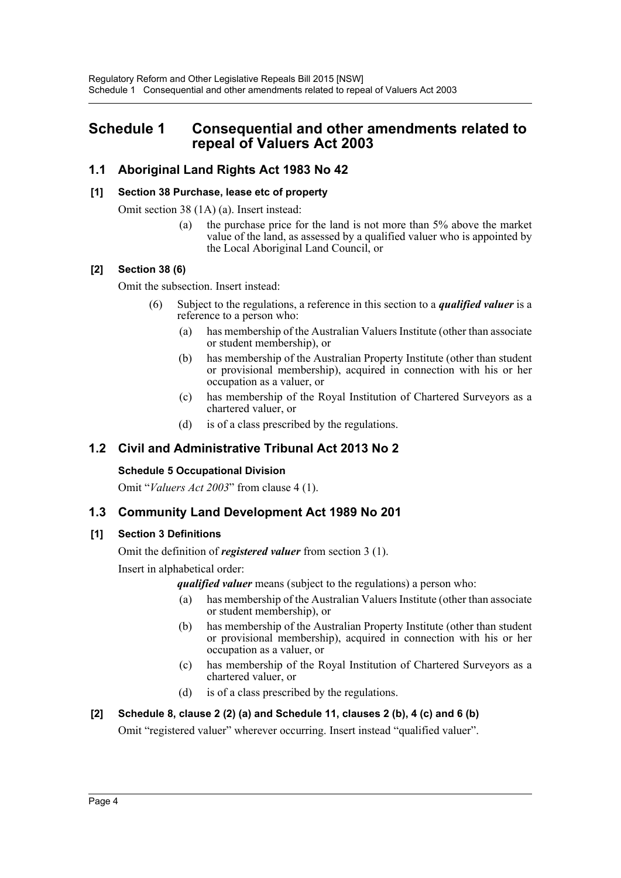## <span id="page-4-0"></span>**Schedule 1 Consequential and other amendments related to repeal of Valuers Act 2003**

## **1.1 Aboriginal Land Rights Act 1983 No 42**

#### **[1] Section 38 Purchase, lease etc of property**

Omit section 38 (1A) (a). Insert instead:

(a) the purchase price for the land is not more than 5% above the market value of the land, as assessed by a qualified valuer who is appointed by the Local Aboriginal Land Council, or

#### **[2] Section 38 (6)**

Omit the subsection. Insert instead:

- (6) Subject to the regulations, a reference in this section to a *qualified valuer* is a reference to a person who:
	- (a) has membership of the Australian Valuers Institute (other than associate or student membership), or
	- (b) has membership of the Australian Property Institute (other than student or provisional membership), acquired in connection with his or her occupation as a valuer, or
	- (c) has membership of the Royal Institution of Chartered Surveyors as a chartered valuer, or
	- (d) is of a class prescribed by the regulations.

## **1.2 Civil and Administrative Tribunal Act 2013 No 2**

#### **Schedule 5 Occupational Division**

Omit "*Valuers Act 2003*" from clause 4 (1).

#### **1.3 Community Land Development Act 1989 No 201**

#### **[1] Section 3 Definitions**

Omit the definition of *registered valuer* from section 3 (1).

Insert in alphabetical order:

*qualified valuer* means (subject to the regulations) a person who:

- (a) has membership of the Australian Valuers Institute (other than associate or student membership), or
- (b) has membership of the Australian Property Institute (other than student or provisional membership), acquired in connection with his or her occupation as a valuer, or
- (c) has membership of the Royal Institution of Chartered Surveyors as a chartered valuer, or
- (d) is of a class prescribed by the regulations.

#### **[2] Schedule 8, clause 2 (2) (a) and Schedule 11, clauses 2 (b), 4 (c) and 6 (b)**

Omit "registered valuer" wherever occurring. Insert instead "qualified valuer".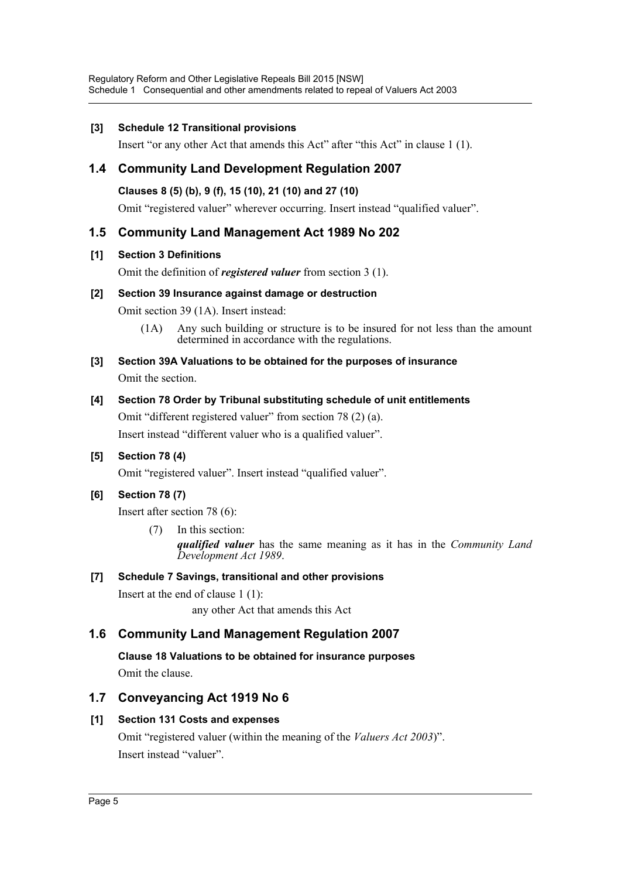#### **[3] Schedule 12 Transitional provisions**

Insert "or any other Act that amends this Act" after "this Act" in clause 1 (1).

## **1.4 Community Land Development Regulation 2007**

#### **Clauses 8 (5) (b), 9 (f), 15 (10), 21 (10) and 27 (10)**

Omit "registered valuer" wherever occurring. Insert instead "qualified valuer".

## **1.5 Community Land Management Act 1989 No 202**

#### **[1] Section 3 Definitions**

Omit the definition of *registered valuer* from section 3 (1).

#### **[2] Section 39 Insurance against damage or destruction**

Omit section 39 (1A). Insert instead:

(1A) Any such building or structure is to be insured for not less than the amount determined in accordance with the regulations.

### **[3] Section 39A Valuations to be obtained for the purposes of insurance**

Omit the section.

#### **[4] Section 78 Order by Tribunal substituting schedule of unit entitlements**

Omit "different registered valuer" from section 78 (2) (a).

Insert instead "different valuer who is a qualified valuer".

#### **[5] Section 78 (4)**

Omit "registered valuer". Insert instead "qualified valuer".

## **[6] Section 78 (7)**

Insert after section 78 (6):

(7) In this section: *qualified valuer* has the same meaning as it has in the *Community Land Development Act 1989*.

#### **[7] Schedule 7 Savings, transitional and other provisions**

Insert at the end of clause 1 (1): any other Act that amends this Act

## **1.6 Community Land Management Regulation 2007**

**Clause 18 Valuations to be obtained for insurance purposes** Omit the clause.

## **1.7 Conveyancing Act 1919 No 6**

#### **[1] Section 131 Costs and expenses**

Omit "registered valuer (within the meaning of the *Valuers Act 2003*)". Insert instead "valuer".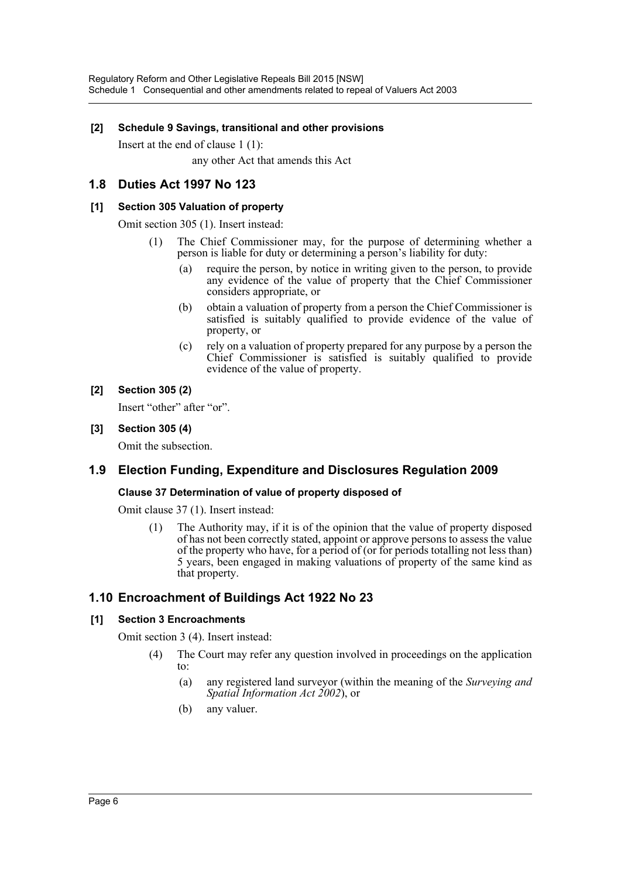#### **[2] Schedule 9 Savings, transitional and other provisions**

Insert at the end of clause 1 (1): any other Act that amends this Act

### **1.8 Duties Act 1997 No 123**

#### **[1] Section 305 Valuation of property**

Omit section 305 (1). Insert instead:

- (1) The Chief Commissioner may, for the purpose of determining whether a person is liable for duty or determining a person's liability for duty:
	- (a) require the person, by notice in writing given to the person, to provide any evidence of the value of property that the Chief Commissioner considers appropriate, or
	- (b) obtain a valuation of property from a person the Chief Commissioner is satisfied is suitably qualified to provide evidence of the value of property, or
	- (c) rely on a valuation of property prepared for any purpose by a person the Chief Commissioner is satisfied is suitably qualified to provide evidence of the value of property.

#### **[2] Section 305 (2)**

Insert "other" after "or".

**[3] Section 305 (4)**

Omit the subsection.

## **1.9 Election Funding, Expenditure and Disclosures Regulation 2009**

#### **Clause 37 Determination of value of property disposed of**

Omit clause 37 (1). Insert instead:

(1) The Authority may, if it is of the opinion that the value of property disposed of has not been correctly stated, appoint or approve persons to assess the value of the property who have, for a period of (or for periods totalling not less than) 5 years, been engaged in making valuations of property of the same kind as that property.

## **1.10 Encroachment of Buildings Act 1922 No 23**

#### **[1] Section 3 Encroachments**

Omit section 3 (4). Insert instead:

- (4) The Court may refer any question involved in proceedings on the application to:
	- (a) any registered land surveyor (within the meaning of the *Surveying and Spatial Information Act 2002*), or
	- (b) any valuer.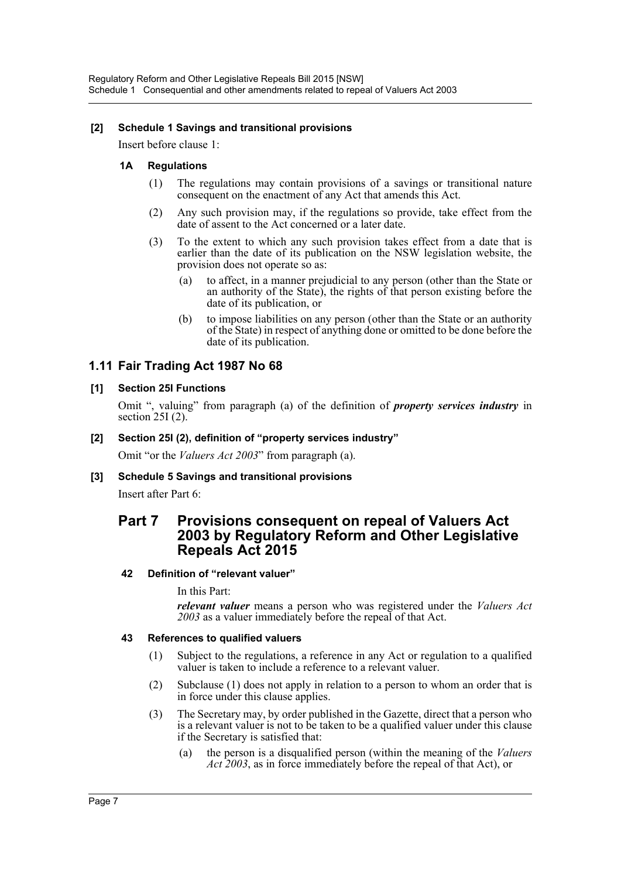#### **[2] Schedule 1 Savings and transitional provisions**

Insert before clause 1:

#### **1A Regulations**

- (1) The regulations may contain provisions of a savings or transitional nature consequent on the enactment of any Act that amends this Act.
- (2) Any such provision may, if the regulations so provide, take effect from the date of assent to the Act concerned or a later date.
- (3) To the extent to which any such provision takes effect from a date that is earlier than the date of its publication on the NSW legislation website, the provision does not operate so as:
	- (a) to affect, in a manner prejudicial to any person (other than the State or an authority of the State), the rights of that person existing before the date of its publication, or
	- (b) to impose liabilities on any person (other than the State or an authority of the State) in respect of anything done or omitted to be done before the date of its publication.

#### **1.11 Fair Trading Act 1987 No 68**

#### **[1] Section 25I Functions**

Omit ", valuing" from paragraph (a) of the definition of *property services industry* in section  $25I(2)$ .

#### **[2] Section 25I (2), definition of "property services industry"**

Omit "or the *Valuers Act 2003*" from paragraph (a).

#### **[3] Schedule 5 Savings and transitional provisions**

Insert after Part 6:

## **Part 7 Provisions consequent on repeal of Valuers Act 2003 by Regulatory Reform and Other Legislative Repeals Act 2015**

#### **42 Definition of "relevant valuer"**

In this Part:

*relevant valuer* means a person who was registered under the *Valuers Act 2003* as a valuer immediately before the repeal of that Act.

#### **43 References to qualified valuers**

- (1) Subject to the regulations, a reference in any Act or regulation to a qualified valuer is taken to include a reference to a relevant valuer.
- (2) Subclause (1) does not apply in relation to a person to whom an order that is in force under this clause applies.
- (3) The Secretary may, by order published in the Gazette, direct that a person who is a relevant valuer is not to be taken to be a qualified valuer under this clause if the Secretary is satisfied that:
	- (a) the person is a disqualified person (within the meaning of the *Valuers Act 2003*, as in force immediately before the repeal of that Act), or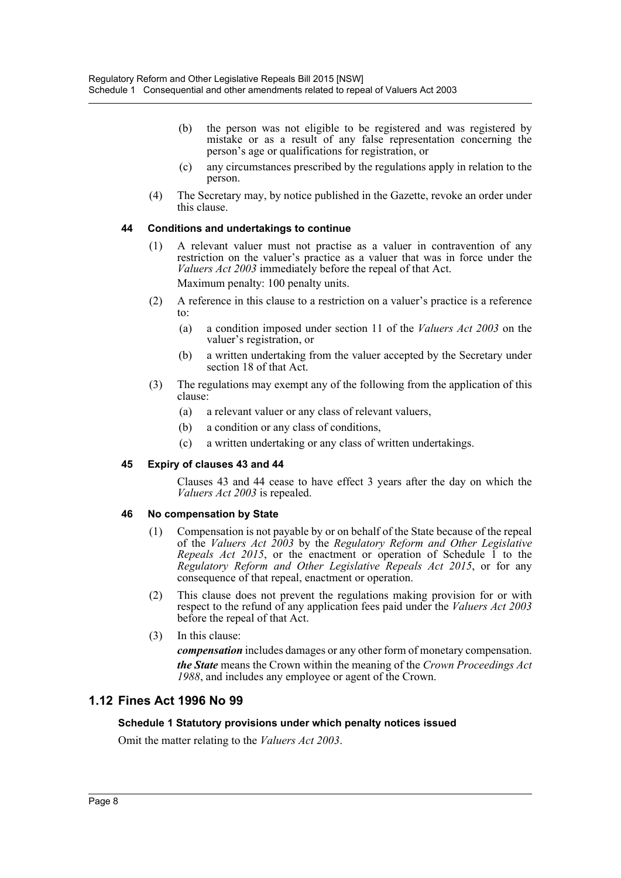- (b) the person was not eligible to be registered and was registered by mistake or as a result of any false representation concerning the person's age or qualifications for registration, or
- (c) any circumstances prescribed by the regulations apply in relation to the person.
- (4) The Secretary may, by notice published in the Gazette, revoke an order under this clause.

#### **44 Conditions and undertakings to continue**

- (1) A relevant valuer must not practise as a valuer in contravention of any restriction on the valuer's practice as a valuer that was in force under the *Valuers Act 2003* immediately before the repeal of that Act. Maximum penalty: 100 penalty units.
- (2) A reference in this clause to a restriction on a valuer's practice is a reference to:
	- (a) a condition imposed under section 11 of the *Valuers Act 2003* on the valuer's registration, or
	- (b) a written undertaking from the valuer accepted by the Secretary under section 18 of that Act.
- (3) The regulations may exempt any of the following from the application of this clause:
	- (a) a relevant valuer or any class of relevant valuers,
	- (b) a condition or any class of conditions,
	- (c) a written undertaking or any class of written undertakings.

#### **45 Expiry of clauses 43 and 44**

Clauses 43 and 44 cease to have effect 3 years after the day on which the *Valuers Act 2003* is repealed.

#### **46 No compensation by State**

- (1) Compensation is not payable by or on behalf of the State because of the repeal of the *Valuers Act 2003* by the *Regulatory Reform and Other Legislative Repeals Act 2015*, or the enactment or operation of Schedule  $\tilde{I}$  to the *Regulatory Reform and Other Legislative Repeals Act 2015*, or for any consequence of that repeal, enactment or operation.
- (2) This clause does not prevent the regulations making provision for or with respect to the refund of any application fees paid under the *Valuers Act 2003* before the repeal of that Act.
- (3) In this clause:

*compensation* includes damages or any other form of monetary compensation. *the State* means the Crown within the meaning of the *Crown Proceedings Act 1988*, and includes any employee or agent of the Crown.

## **1.12 Fines Act 1996 No 99**

#### **Schedule 1 Statutory provisions under which penalty notices issued**

Omit the matter relating to the *Valuers Act 2003*.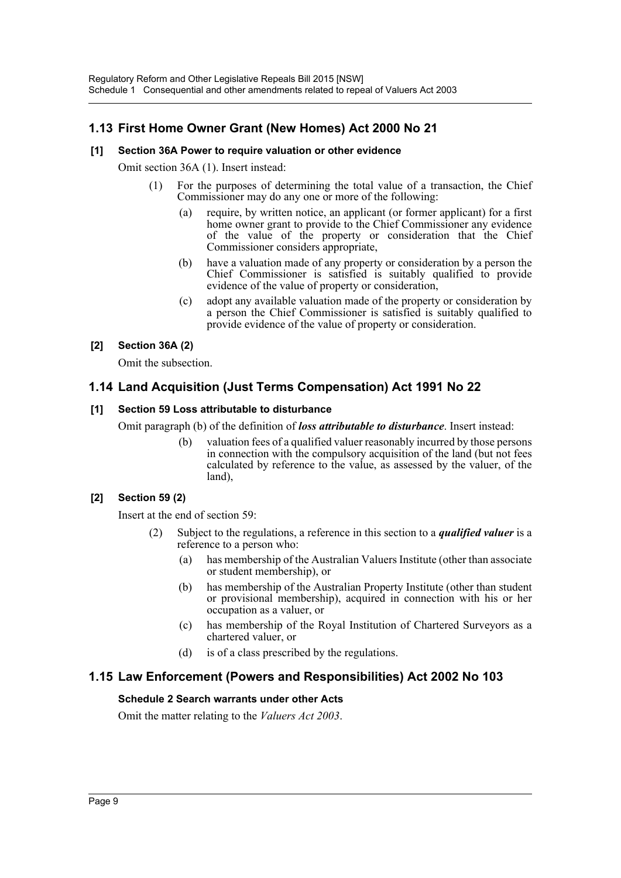## **1.13 First Home Owner Grant (New Homes) Act 2000 No 21**

#### **[1] Section 36A Power to require valuation or other evidence**

Omit section 36A (1). Insert instead:

- (1) For the purposes of determining the total value of a transaction, the Chief Commissioner may do any one or more of the following:
	- (a) require, by written notice, an applicant (or former applicant) for a first home owner grant to provide to the Chief Commissioner any evidence of the value of the property or consideration that the Chief Commissioner considers appropriate,
	- (b) have a valuation made of any property or consideration by a person the Chief Commissioner is satisfied is suitably qualified to provide evidence of the value of property or consideration,
	- (c) adopt any available valuation made of the property or consideration by a person the Chief Commissioner is satisfied is suitably qualified to provide evidence of the value of property or consideration.

#### **[2] Section 36A (2)**

Omit the subsection.

## **1.14 Land Acquisition (Just Terms Compensation) Act 1991 No 22**

#### **[1] Section 59 Loss attributable to disturbance**

Omit paragraph (b) of the definition of *loss attributable to disturbance*. Insert instead:

(b) valuation fees of a qualified valuer reasonably incurred by those persons in connection with the compulsory acquisition of the land (but not fees calculated by reference to the value, as assessed by the valuer, of the land),

#### **[2] Section 59 (2)**

Insert at the end of section 59:

- (2) Subject to the regulations, a reference in this section to a *qualified valuer* is a reference to a person who:
	- (a) has membership of the Australian Valuers Institute (other than associate or student membership), or
	- (b) has membership of the Australian Property Institute (other than student or provisional membership), acquired in connection with his or her occupation as a valuer, or
	- (c) has membership of the Royal Institution of Chartered Surveyors as a chartered valuer, or
	- (d) is of a class prescribed by the regulations.

#### **1.15 Law Enforcement (Powers and Responsibilities) Act 2002 No 103**

#### **Schedule 2 Search warrants under other Acts**

Omit the matter relating to the *Valuers Act 2003*.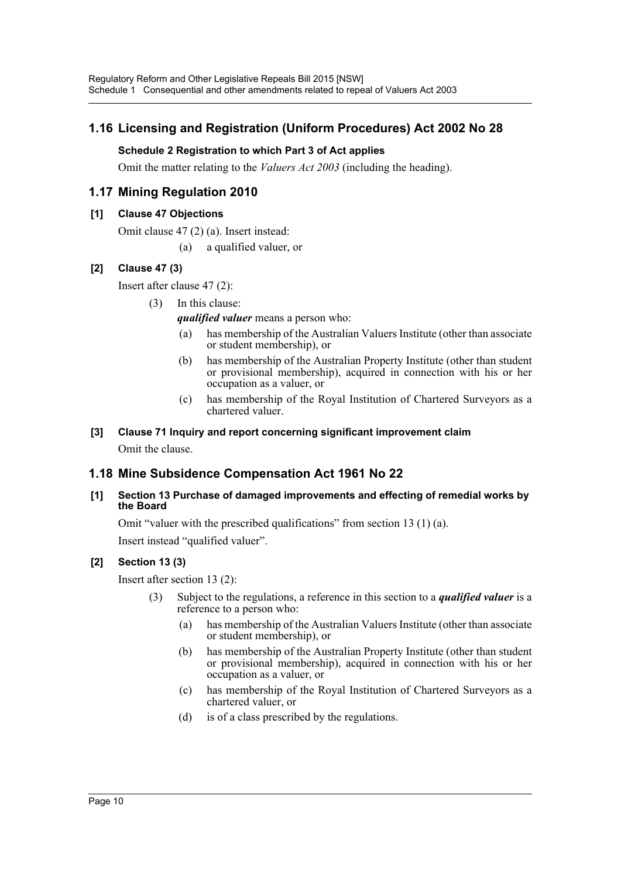## **1.16 Licensing and Registration (Uniform Procedures) Act 2002 No 28**

### **Schedule 2 Registration to which Part 3 of Act applies**

Omit the matter relating to the *Valuers Act 2003* (including the heading).

## **1.17 Mining Regulation 2010**

#### **[1] Clause 47 Objections**

Omit clause 47 (2) (a). Insert instead:

(a) a qualified valuer, or

### **[2] Clause 47 (3)**

Insert after clause 47 (2):

(3) In this clause:

*qualified valuer* means a person who:

- (a) has membership of the Australian Valuers Institute (other than associate or student membership), or
- (b) has membership of the Australian Property Institute (other than student or provisional membership), acquired in connection with his or her occupation as a valuer, or
- (c) has membership of the Royal Institution of Chartered Surveyors as a chartered valuer.

# **[3] Clause 71 Inquiry and report concerning significant improvement claim**

Omit the clause.

## **1.18 Mine Subsidence Compensation Act 1961 No 22**

**[1] Section 13 Purchase of damaged improvements and effecting of remedial works by the Board**

Omit "valuer with the prescribed qualifications" from section 13 (1) (a).

Insert instead "qualified valuer".

#### **[2] Section 13 (3)**

Insert after section 13 (2):

- (3) Subject to the regulations, a reference in this section to a *qualified valuer* is a reference to a person who:
	- (a) has membership of the Australian Valuers Institute (other than associate or student membership), or
	- (b) has membership of the Australian Property Institute (other than student or provisional membership), acquired in connection with his or her occupation as a valuer, or
	- (c) has membership of the Royal Institution of Chartered Surveyors as a chartered valuer, or
	- (d) is of a class prescribed by the regulations.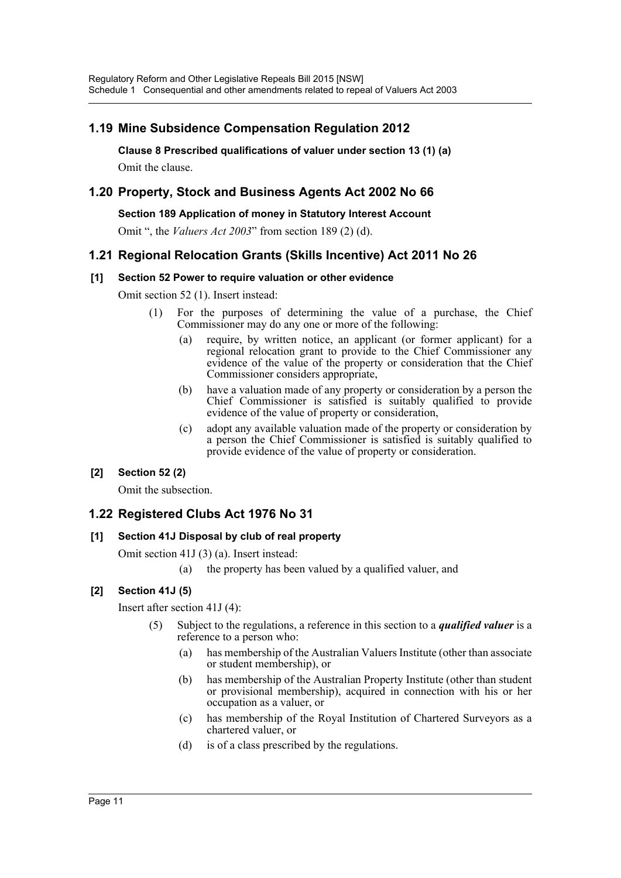## **1.19 Mine Subsidence Compensation Regulation 2012**

**Clause 8 Prescribed qualifications of valuer under section 13 (1) (a)** Omit the clause.

## **1.20 Property, Stock and Business Agents Act 2002 No 66**

**Section 189 Application of money in Statutory Interest Account**

Omit ", the *Valuers Act 2003*" from section 189 (2) (d).

### **1.21 Regional Relocation Grants (Skills Incentive) Act 2011 No 26**

#### **[1] Section 52 Power to require valuation or other evidence**

Omit section 52 (1). Insert instead:

- (1) For the purposes of determining the value of a purchase, the Chief Commissioner may do any one or more of the following:
	- (a) require, by written notice, an applicant (or former applicant) for a regional relocation grant to provide to the Chief Commissioner any evidence of the value of the property or consideration that the Chief Commissioner considers appropriate,
	- (b) have a valuation made of any property or consideration by a person the Chief Commissioner is satisfied is suitably qualified to provide evidence of the value of property or consideration,
	- (c) adopt any available valuation made of the property or consideration by a person the Chief Commissioner is satisfied is suitably qualified to provide evidence of the value of property or consideration.

#### **[2] Section 52 (2)**

Omit the subsection.

## **1.22 Registered Clubs Act 1976 No 31**

#### **[1] Section 41J Disposal by club of real property**

Omit section 41J (3) (a). Insert instead:

(a) the property has been valued by a qualified valuer, and

#### **[2] Section 41J (5)**

Insert after section 41J (4):

- (5) Subject to the regulations, a reference in this section to a *qualified valuer* is a reference to a person who:
	- (a) has membership of the Australian Valuers Institute (other than associate or student membership), or
	- (b) has membership of the Australian Property Institute (other than student or provisional membership), acquired in connection with his or her occupation as a valuer, or
	- (c) has membership of the Royal Institution of Chartered Surveyors as a chartered valuer, or
	- (d) is of a class prescribed by the regulations.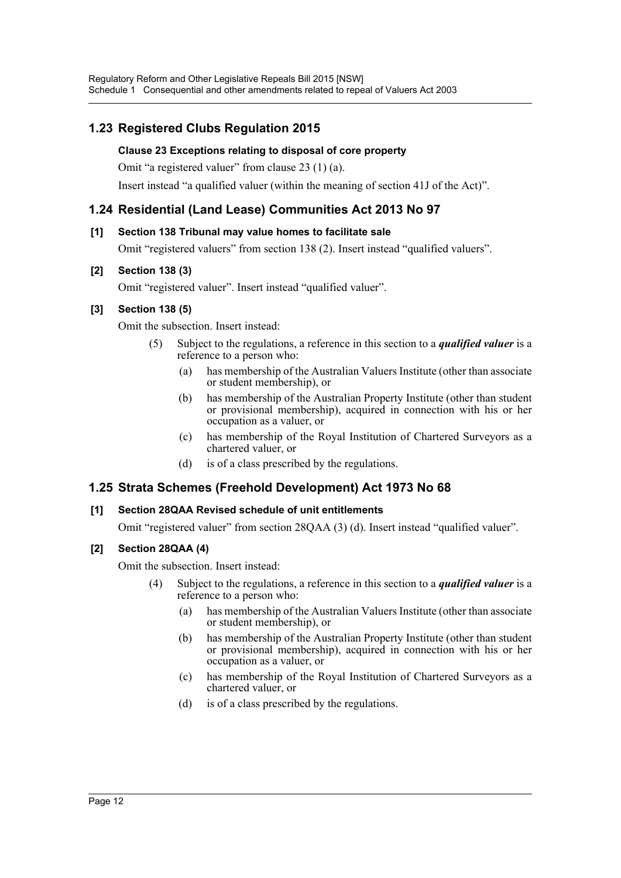## **1.23 Registered Clubs Regulation 2015**

### **Clause 23 Exceptions relating to disposal of core property**

Omit "a registered valuer" from clause 23 (1) (a).

Insert instead "a qualified valuer (within the meaning of section 41J of the Act)".

## **1.24 Residential (Land Lease) Communities Act 2013 No 97**

### **[1] Section 138 Tribunal may value homes to facilitate sale**

Omit "registered valuers" from section 138 (2). Insert instead "qualified valuers".

### **[2] Section 138 (3)**

Omit "registered valuer". Insert instead "qualified valuer".

## **[3] Section 138 (5)**

Omit the subsection. Insert instead:

- (5) Subject to the regulations, a reference in this section to a *qualified valuer* is a reference to a person who:
	- (a) has membership of the Australian Valuers Institute (other than associate or student membership), or
	- (b) has membership of the Australian Property Institute (other than student or provisional membership), acquired in connection with his or her occupation as a valuer, or
	- (c) has membership of the Royal Institution of Chartered Surveyors as a chartered valuer, or
	- (d) is of a class prescribed by the regulations.

## **1.25 Strata Schemes (Freehold Development) Act 1973 No 68**

#### **[1] Section 28QAA Revised schedule of unit entitlements**

Omit "registered valuer" from section 28QAA (3) (d). Insert instead "qualified valuer".

## **[2] Section 28QAA (4)**

Omit the subsection. Insert instead:

- (4) Subject to the regulations, a reference in this section to a *qualified valuer* is a reference to a person who:
	- (a) has membership of the Australian Valuers Institute (other than associate or student membership), or
	- (b) has membership of the Australian Property Institute (other than student or provisional membership), acquired in connection with his or her occupation as a valuer, or
	- (c) has membership of the Royal Institution of Chartered Surveyors as a chartered valuer, or
	- (d) is of a class prescribed by the regulations.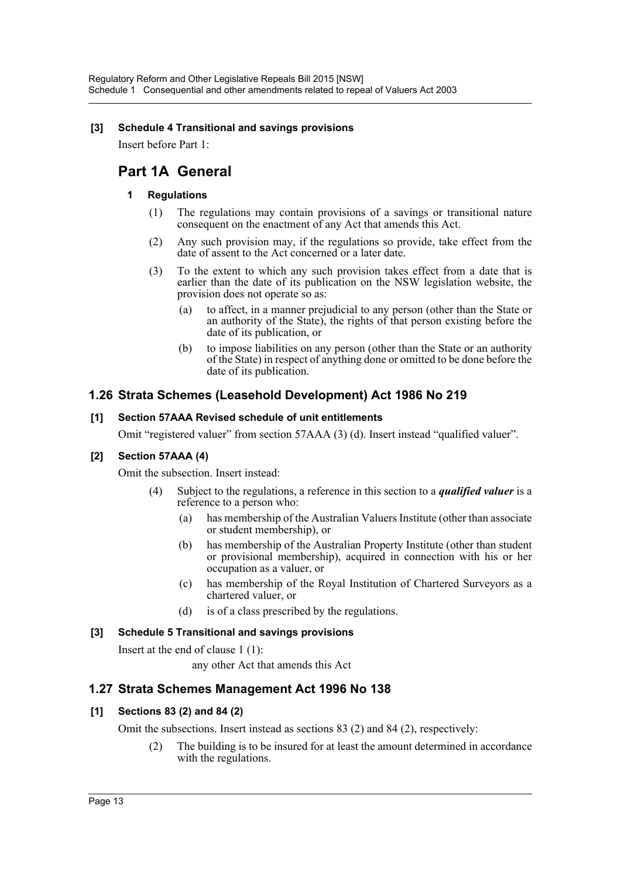#### **[3] Schedule 4 Transitional and savings provisions**

Insert before Part 1:

## **Part 1A General**

#### **1 Regulations**

- (1) The regulations may contain provisions of a savings or transitional nature consequent on the enactment of any Act that amends this Act.
- (2) Any such provision may, if the regulations so provide, take effect from the date of assent to the Act concerned or a later date.
- (3) To the extent to which any such provision takes effect from a date that is earlier than the date of its publication on the NSW legislation website, the provision does not operate so as:
	- (a) to affect, in a manner prejudicial to any person (other than the State or an authority of the State), the rights of that person existing before the date of its publication, or
	- (b) to impose liabilities on any person (other than the State or an authority of the State) in respect of anything done or omitted to be done before the date of its publication.

### **1.26 Strata Schemes (Leasehold Development) Act 1986 No 219**

#### **[1] Section 57AAA Revised schedule of unit entitlements**

Omit "registered valuer" from section 57AAA (3) (d). Insert instead "qualified valuer".

#### **[2] Section 57AAA (4)**

Omit the subsection. Insert instead:

- (4) Subject to the regulations, a reference in this section to a *qualified valuer* is a reference to a person who:
	- (a) has membership of the Australian Valuers Institute (other than associate or student membership), or
	- (b) has membership of the Australian Property Institute (other than student or provisional membership), acquired in connection with his or her occupation as a valuer, or
	- (c) has membership of the Royal Institution of Chartered Surveyors as a chartered valuer, or
	- (d) is of a class prescribed by the regulations.

#### **[3] Schedule 5 Transitional and savings provisions**

Insert at the end of clause 1 (1):

any other Act that amends this Act

#### **1.27 Strata Schemes Management Act 1996 No 138**

#### **[1] Sections 83 (2) and 84 (2)**

Omit the subsections. Insert instead as sections 83 (2) and 84 (2), respectively:

(2) The building is to be insured for at least the amount determined in accordance with the regulations.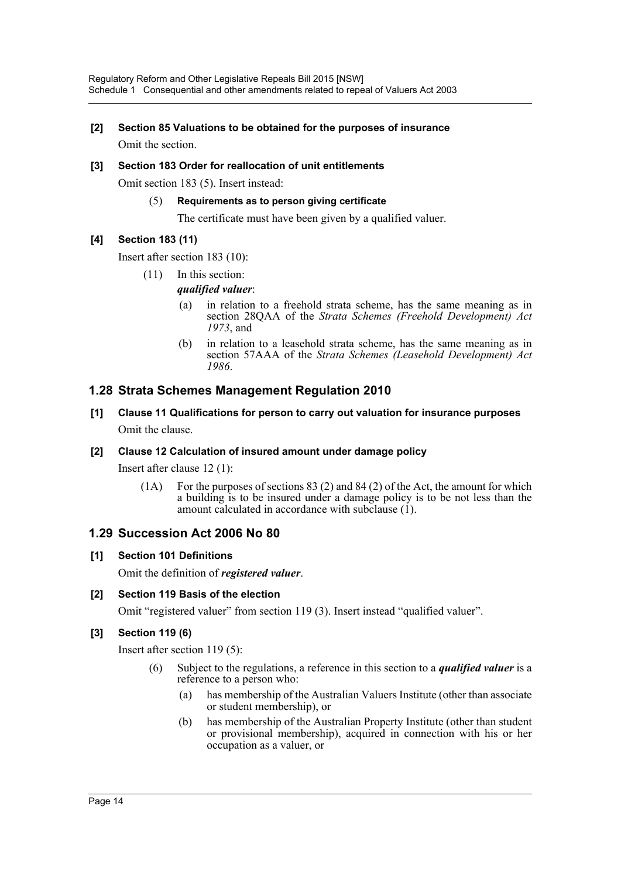## **[2] Section 85 Valuations to be obtained for the purposes of insurance**

Omit the section.

#### **[3] Section 183 Order for reallocation of unit entitlements**

Omit section 183 (5). Insert instead:

#### (5) **Requirements as to person giving certificate**

The certificate must have been given by a qualified valuer.

### **[4] Section 183 (11)**

Insert after section 183 (10):

- (11) In this section:
	- *qualified valuer*:
		- (a) in relation to a freehold strata scheme, has the same meaning as in section 28QAA of the *Strata Schemes (Freehold Development) Act 1973*, and
		- (b) in relation to a leasehold strata scheme, has the same meaning as in section 57AAA of the *Strata Schemes (Leasehold Development) Act 1986*.

## **1.28 Strata Schemes Management Regulation 2010**

## **[1] Clause 11 Qualifications for person to carry out valuation for insurance purposes** Omit the clause.

#### **[2] Clause 12 Calculation of insured amount under damage policy**

Insert after clause 12 (1):

(1A) For the purposes of sections 83 (2) and 84 (2) of the Act, the amount for which a building is to be insured under a damage policy is to be not less than the amount calculated in accordance with subclause (1).

## **1.29 Succession Act 2006 No 80**

#### **[1] Section 101 Definitions**

Omit the definition of *registered valuer*.

#### **[2] Section 119 Basis of the election**

Omit "registered valuer" from section 119 (3). Insert instead "qualified valuer".

#### **[3] Section 119 (6)**

Insert after section 119 (5):

- (6) Subject to the regulations, a reference in this section to a *qualified valuer* is a reference to a person who:
	- (a) has membership of the Australian Valuers Institute (other than associate or student membership), or
	- (b) has membership of the Australian Property Institute (other than student or provisional membership), acquired in connection with his or her occupation as a valuer, or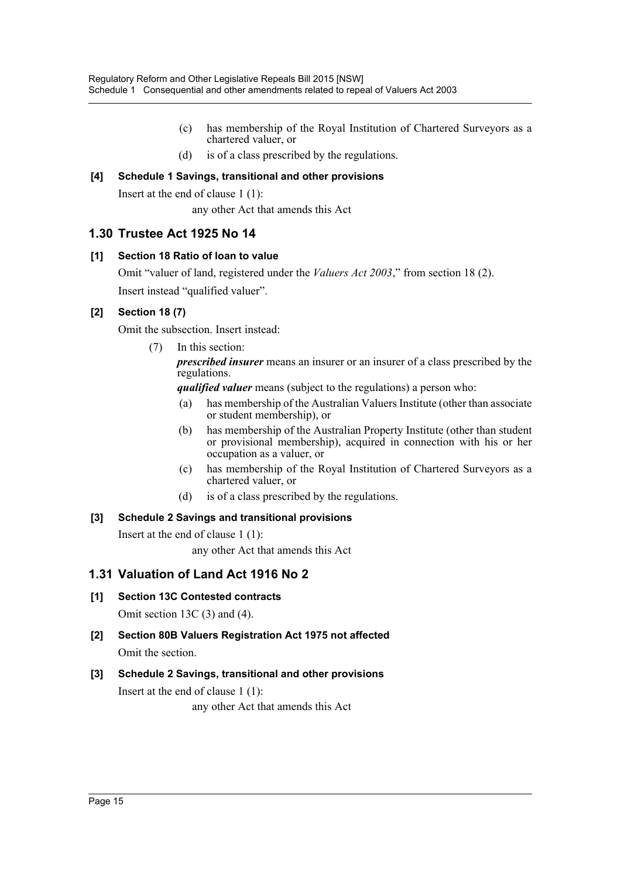- (c) has membership of the Royal Institution of Chartered Surveyors as a chartered valuer, or
- (d) is of a class prescribed by the regulations.

#### **[4] Schedule 1 Savings, transitional and other provisions**

Insert at the end of clause 1 (1):

any other Act that amends this Act

### **1.30 Trustee Act 1925 No 14**

#### **[1] Section 18 Ratio of loan to value**

Omit "valuer of land, registered under the *Valuers Act 2003*," from section 18 (2). Insert instead "qualified valuer".

#### **[2] Section 18 (7)**

Omit the subsection. Insert instead:

(7) In this section:

*prescribed insurer* means an insurer or an insurer of a class prescribed by the regulations.

*qualified valuer* means (subject to the regulations) a person who:

- (a) has membership of the Australian Valuers Institute (other than associate or student membership), or
- (b) has membership of the Australian Property Institute (other than student or provisional membership), acquired in connection with his or her occupation as a valuer, or
- (c) has membership of the Royal Institution of Chartered Surveyors as a chartered valuer, or
- (d) is of a class prescribed by the regulations.

#### **[3] Schedule 2 Savings and transitional provisions**

Insert at the end of clause 1 (1):

any other Act that amends this Act

## **1.31 Valuation of Land Act 1916 No 2**

- **[1] Section 13C Contested contracts** Omit section 13C (3) and (4).
- **[2] Section 80B Valuers Registration Act 1975 not affected** Omit the section.

## **[3] Schedule 2 Savings, transitional and other provisions**

Insert at the end of clause 1 (1):

any other Act that amends this Act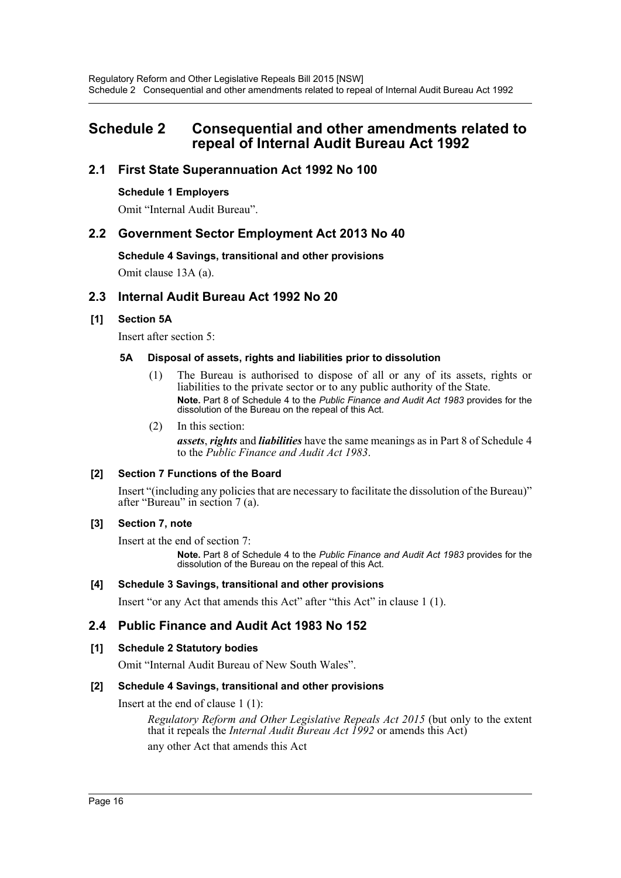## <span id="page-16-0"></span>**Schedule 2 Consequential and other amendments related to repeal of Internal Audit Bureau Act 1992**

## **2.1 First State Superannuation Act 1992 No 100**

#### **Schedule 1 Employers**

Omit "Internal Audit Bureau".

## **2.2 Government Sector Employment Act 2013 No 40**

#### **Schedule 4 Savings, transitional and other provisions**

Omit clause 13A (a).

## **2.3 Internal Audit Bureau Act 1992 No 20**

#### **[1] Section 5A**

Insert after section 5:

#### **5A Disposal of assets, rights and liabilities prior to dissolution**

- (1) The Bureau is authorised to dispose of all or any of its assets, rights or liabilities to the private sector or to any public authority of the State. **Note.** Part 8 of Schedule 4 to the *Public Finance and Audit Act 1983* provides for the dissolution of the Bureau on the repeal of this Act.
- (2) In this section:

*assets*, *rights* and *liabilities* have the same meanings as in Part 8 of Schedule 4 to the *Public Finance and Audit Act 1983*.

#### **[2] Section 7 Functions of the Board**

Insert "(including any policies that are necessary to facilitate the dissolution of the Bureau)" after "Bureau" in section 7 (a).

#### **[3] Section 7, note**

Insert at the end of section 7:

**Note.** Part 8 of Schedule 4 to the *Public Finance and Audit Act 1983* provides for the dissolution of the Bureau on the repeal of this Act.

#### **[4] Schedule 3 Savings, transitional and other provisions**

Insert "or any Act that amends this Act" after "this Act" in clause 1 (1).

#### **2.4 Public Finance and Audit Act 1983 No 152**

#### **[1] Schedule 2 Statutory bodies**

Omit "Internal Audit Bureau of New South Wales".

#### **[2] Schedule 4 Savings, transitional and other provisions**

Insert at the end of clause 1 (1):

*Regulatory Reform and Other Legislative Repeals Act 2015* (but only to the extent that it repeals the *Internal Audit Bureau Act 1992* or amends this Act) any other Act that amends this Act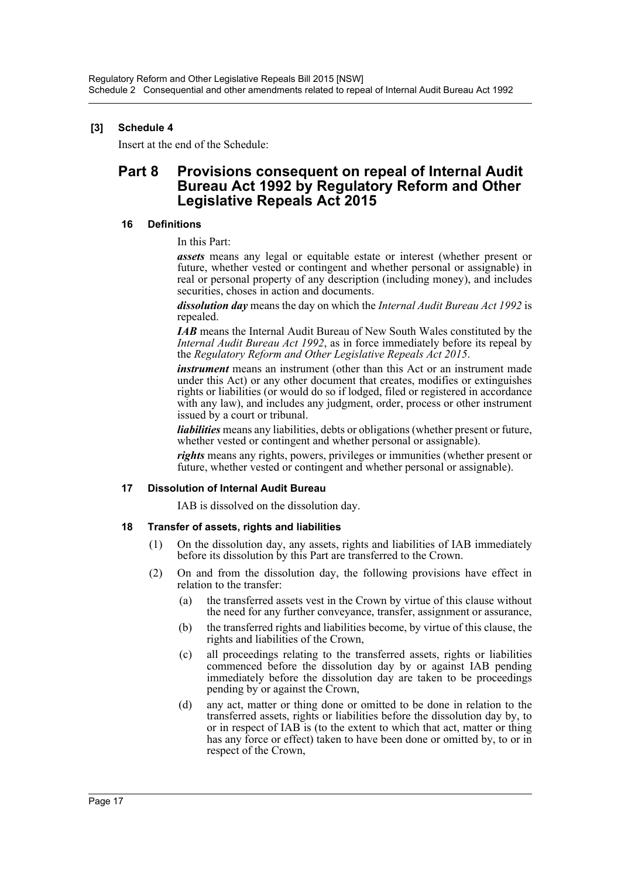### **[3] Schedule 4**

Insert at the end of the Schedule:

## **Part 8 Provisions consequent on repeal of Internal Audit Bureau Act 1992 by Regulatory Reform and Other Legislative Repeals Act 2015**

#### **16 Definitions**

In this Part:

*assets* means any legal or equitable estate or interest (whether present or future, whether vested or contingent and whether personal or assignable) in real or personal property of any description (including money), and includes securities, choses in action and documents.

*dissolution day* means the day on which the *Internal Audit Bureau Act 1992* is repealed.

*IAB* means the Internal Audit Bureau of New South Wales constituted by the *Internal Audit Bureau Act 1992*, as in force immediately before its repeal by the *Regulatory Reform and Other Legislative Repeals Act 2015*.

*instrument* means an instrument (other than this Act or an instrument made under this Act) or any other document that creates, modifies or extinguishes rights or liabilities (or would do so if lodged, filed or registered in accordance with any law), and includes any judgment, order, process or other instrument issued by a court or tribunal.

*liabilities* means any liabilities, debts or obligations (whether present or future, whether vested or contingent and whether personal or assignable).

*rights* means any rights, powers, privileges or immunities (whether present or future, whether vested or contingent and whether personal or assignable).

#### **17 Dissolution of Internal Audit Bureau**

IAB is dissolved on the dissolution day.

#### **18 Transfer of assets, rights and liabilities**

- (1) On the dissolution day, any assets, rights and liabilities of IAB immediately before its dissolution by this Part are transferred to the Crown.
- (2) On and from the dissolution day, the following provisions have effect in relation to the transfer:
	- (a) the transferred assets vest in the Crown by virtue of this clause without the need for any further conveyance, transfer, assignment or assurance,
	- (b) the transferred rights and liabilities become, by virtue of this clause, the rights and liabilities of the Crown,
	- (c) all proceedings relating to the transferred assets, rights or liabilities commenced before the dissolution day by or against IAB pending immediately before the dissolution day are taken to be proceedings pending by or against the Crown,
	- (d) any act, matter or thing done or omitted to be done in relation to the transferred assets, rights or liabilities before the dissolution day by, to or in respect of IAB is (to the extent to which that act, matter or thing has any force or effect) taken to have been done or omitted by, to or in respect of the Crown,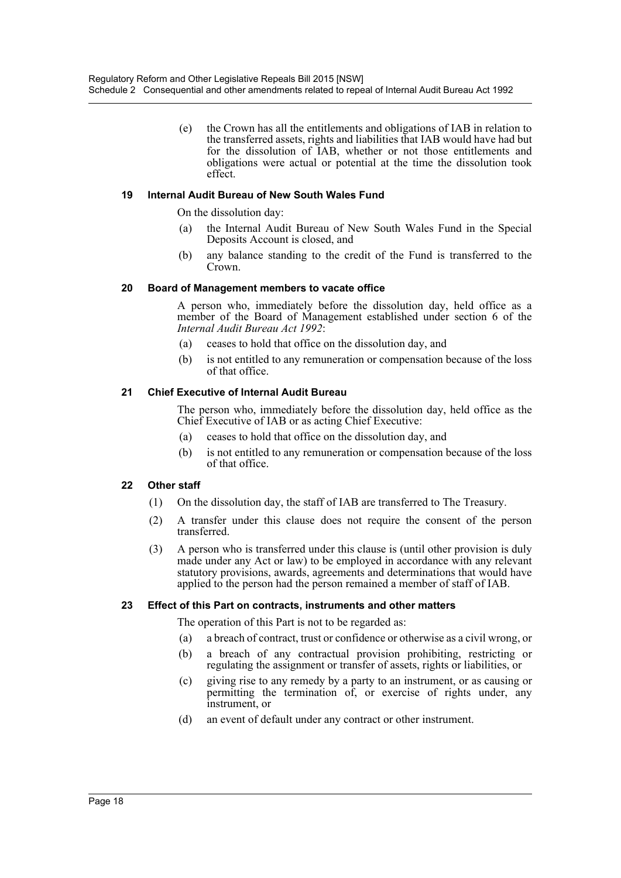(e) the Crown has all the entitlements and obligations of IAB in relation to the transferred assets, rights and liabilities that IAB would have had but for the dissolution of IAB, whether or not those entitlements and obligations were actual or potential at the time the dissolution took effect.

#### **19 Internal Audit Bureau of New South Wales Fund**

On the dissolution day:

- (a) the Internal Audit Bureau of New South Wales Fund in the Special Deposits Account is closed, and
- (b) any balance standing to the credit of the Fund is transferred to the Crown.

#### **20 Board of Management members to vacate office**

A person who, immediately before the dissolution day, held office as a member of the Board of Management established under section 6 of the *Internal Audit Bureau Act 1992*:

- (a) ceases to hold that office on the dissolution day, and
- (b) is not entitled to any remuneration or compensation because of the loss of that office.

#### **21 Chief Executive of Internal Audit Bureau**

The person who, immediately before the dissolution day, held office as the Chief Executive of IAB or as acting Chief Executive:

- (a) ceases to hold that office on the dissolution day, and
- (b) is not entitled to any remuneration or compensation because of the loss of that office.

#### **22 Other staff**

- (1) On the dissolution day, the staff of IAB are transferred to The Treasury.
- (2) A transfer under this clause does not require the consent of the person transferred.
- (3) A person who is transferred under this clause is (until other provision is duly made under any Act or law) to be employed in accordance with any relevant statutory provisions, awards, agreements and determinations that would have applied to the person had the person remained a member of staff of IAB.

#### **23 Effect of this Part on contracts, instruments and other matters**

The operation of this Part is not to be regarded as:

- (a) a breach of contract, trust or confidence or otherwise as a civil wrong, or
- (b) a breach of any contractual provision prohibiting, restricting or regulating the assignment or transfer of assets, rights or liabilities, or
- (c) giving rise to any remedy by a party to an instrument, or as causing or permitting the termination of, or exercise of rights under, any instrument, or
- (d) an event of default under any contract or other instrument.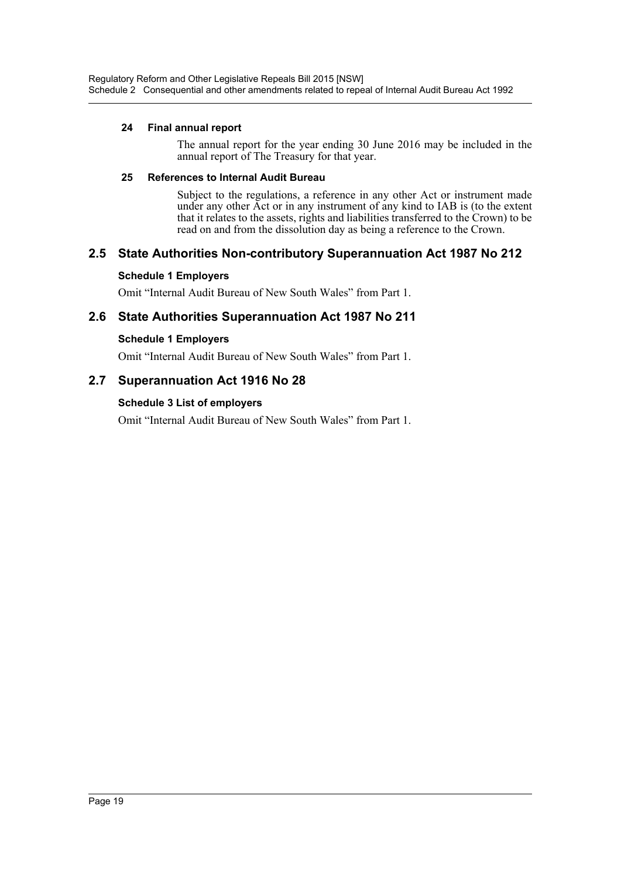#### **24 Final annual report**

The annual report for the year ending 30 June 2016 may be included in the annual report of The Treasury for that year.

#### **25 References to Internal Audit Bureau**

Subject to the regulations, a reference in any other Act or instrument made under any other Act or in any instrument of any kind to IAB is (to the extent that it relates to the assets, rights and liabilities transferred to the Crown) to be read on and from the dissolution day as being a reference to the Crown.

## **2.5 State Authorities Non-contributory Superannuation Act 1987 No 212**

#### **Schedule 1 Employers**

Omit "Internal Audit Bureau of New South Wales" from Part 1.

## **2.6 State Authorities Superannuation Act 1987 No 211**

#### **Schedule 1 Employers**

Omit "Internal Audit Bureau of New South Wales" from Part 1.

## **2.7 Superannuation Act 1916 No 28**

#### **Schedule 3 List of employers**

Omit "Internal Audit Bureau of New South Wales" from Part 1.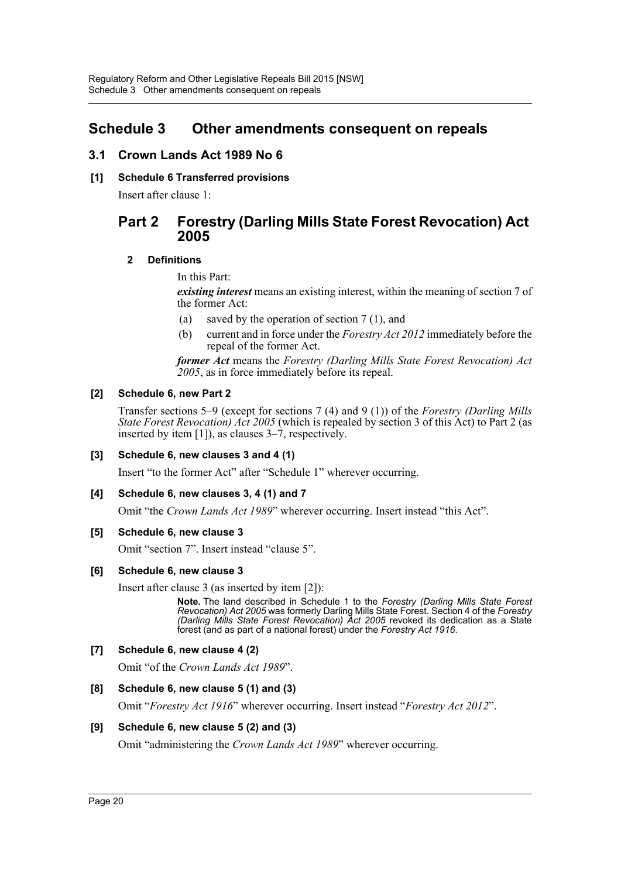## <span id="page-20-0"></span>**Schedule 3 Other amendments consequent on repeals**

## **3.1 Crown Lands Act 1989 No 6**

**[1] Schedule 6 Transferred provisions**

Insert after clause 1:

## **Part 2 Forestry (Darling Mills State Forest Revocation) Act 2005**

#### **2 Definitions**

In this Part:

*existing interest* means an existing interest, within the meaning of section 7 of the former Act:

- (a) saved by the operation of section 7 (1), and
- (b) current and in force under the *Forestry Act 2012* immediately before the repeal of the former Act.

*former Act* means the *Forestry (Darling Mills State Forest Revocation) Act 2005*, as in force immediately before its repeal.

#### **[2] Schedule 6, new Part 2**

Transfer sections 5–9 (except for sections 7 (4) and 9 (1)) of the *Forestry (Darling Mills State Forest Revocation) Act 2005* (which is repealed by section 3 of this Act) to Part 2 (as inserted by item [1]), as clauses 3–7, respectively.

#### **[3] Schedule 6, new clauses 3 and 4 (1)**

Insert "to the former Act" after "Schedule 1" wherever occurring.

#### **[4] Schedule 6, new clauses 3, 4 (1) and 7**

Omit "the *Crown Lands Act 1989*" wherever occurring. Insert instead "this Act".

#### **[5] Schedule 6, new clause 3**

Omit "section 7". Insert instead "clause 5".

#### **[6] Schedule 6, new clause 3**

Insert after clause 3 (as inserted by item [2]):

**Note.** The land described in Schedule 1 to the *Forestry (Darling Mills State Forest Revocation) Act 2005* was formerly Darling Mills State Forest. Section 4 of the *Forestry (Darling Mills State Forest Revocation) Act 2005* revoked its dedication as a State forest (and as part of a national forest) under the *Forestry Act 1916*.

#### **[7] Schedule 6, new clause 4 (2)**

Omit "of the *Crown Lands Act 1989*".

#### **[8] Schedule 6, new clause 5 (1) and (3)**

Omit "*Forestry Act 1916*" wherever occurring. Insert instead "*Forestry Act 2012*".

#### **[9] Schedule 6, new clause 5 (2) and (3)**

Omit "administering the *Crown Lands Act 1989*" wherever occurring.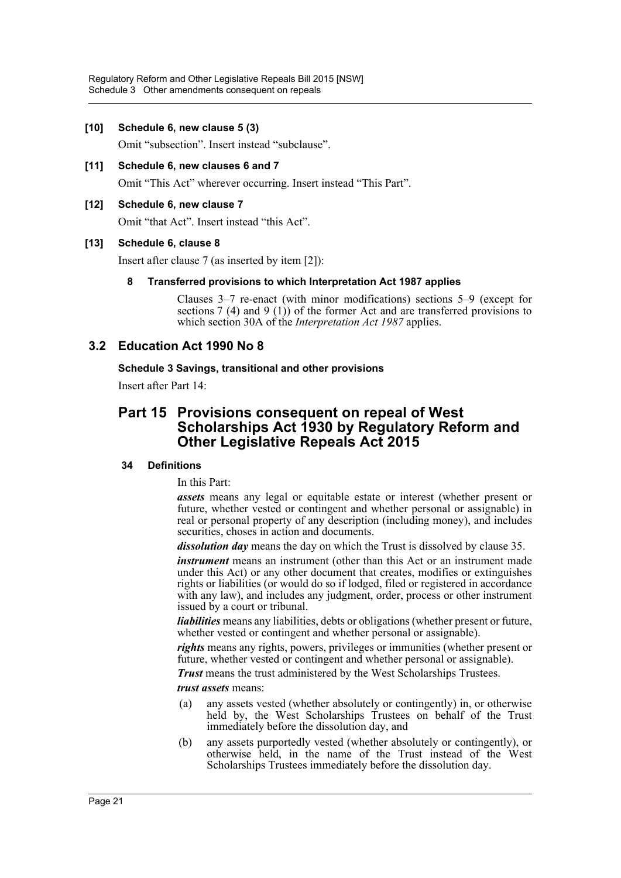#### **[10] Schedule 6, new clause 5 (3)**

Omit "subsection". Insert instead "subclause".

**[11] Schedule 6, new clauses 6 and 7** Omit "This Act" wherever occurring. Insert instead "This Part".

#### **[12] Schedule 6, new clause 7**

Omit "that Act". Insert instead "this Act".

#### **[13] Schedule 6, clause 8**

Insert after clause 7 (as inserted by item [2]):

#### **8 Transferred provisions to which Interpretation Act 1987 applies**

Clauses 3–7 re-enact (with minor modifications) sections 5–9 (except for sections 7 (4) and 9 (1)) of the former Act and are transferred provisions to which section 30A of the *Interpretation Act 1987* applies.

### **3.2 Education Act 1990 No 8**

#### **Schedule 3 Savings, transitional and other provisions**

Insert after Part 14:

## **Part 15 Provisions consequent on repeal of West Scholarships Act 1930 by Regulatory Reform and Other Legislative Repeals Act 2015**

#### **34 Definitions**

In this Part:

*assets* means any legal or equitable estate or interest (whether present or future, whether vested or contingent and whether personal or assignable) in real or personal property of any description (including money), and includes securities, choses in action and documents.

*dissolution day* means the day on which the Trust is dissolved by clause 35.

*instrument* means an instrument (other than this Act or an instrument made under this Act) or any other document that creates, modifies or extinguishes rights or liabilities (or would do so if lodged, filed or registered in accordance with any law), and includes any judgment, order, process or other instrument issued by a court or tribunal.

*liabilities* means any liabilities, debts or obligations (whether present or future, whether vested or contingent and whether personal or assignable).

*rights* means any rights, powers, privileges or immunities (whether present or future, whether vested or contingent and whether personal or assignable).

*Trust* means the trust administered by the West Scholarships Trustees.

*trust assets* means:

- (a) any assets vested (whether absolutely or contingently) in, or otherwise held by, the West Scholarships Trustees on behalf of the Trust immediately before the dissolution day, and
- (b) any assets purportedly vested (whether absolutely or contingently), or otherwise held, in the name of the Trust instead of the West Scholarships Trustees immediately before the dissolution day.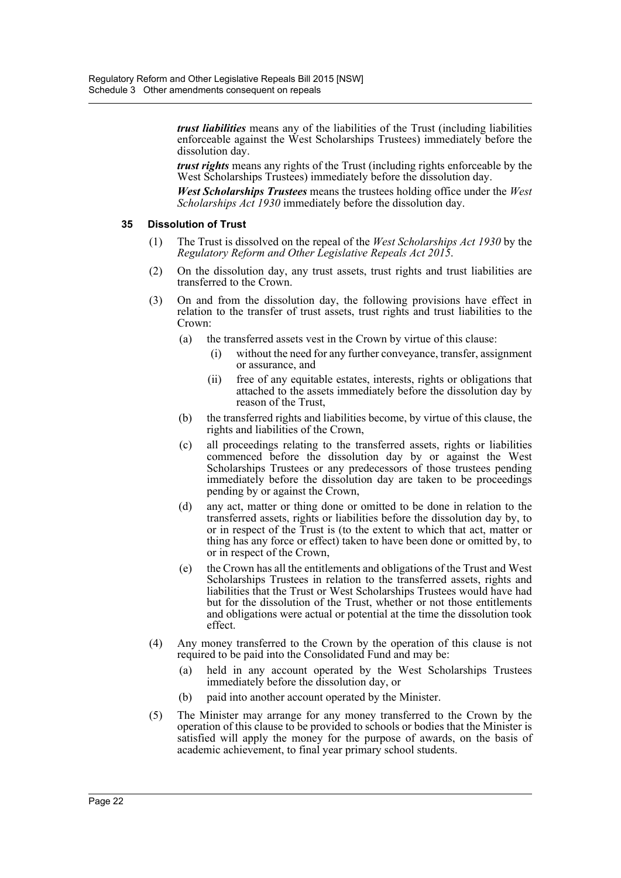*trust liabilities* means any of the liabilities of the Trust (including liabilities enforceable against the West Scholarships Trustees) immediately before the dissolution day.

*trust rights* means any rights of the Trust (including rights enforceable by the West Scholarships Trustees) immediately before the dissolution day.

*West Scholarships Trustees* means the trustees holding office under the *West Scholarships Act 1930* immediately before the dissolution day.

#### **35 Dissolution of Trust**

- (1) The Trust is dissolved on the repeal of the *West Scholarships Act 1930* by the *Regulatory Reform and Other Legislative Repeals Act 2015*.
- (2) On the dissolution day, any trust assets, trust rights and trust liabilities are transferred to the Crown.
- (3) On and from the dissolution day, the following provisions have effect in relation to the transfer of trust assets, trust rights and trust liabilities to the Crown:
	- (a) the transferred assets vest in the Crown by virtue of this clause:
		- (i) without the need for any further conveyance, transfer, assignment or assurance, and
		- (ii) free of any equitable estates, interests, rights or obligations that attached to the assets immediately before the dissolution day by reason of the Trust,
	- (b) the transferred rights and liabilities become, by virtue of this clause, the rights and liabilities of the Crown,
	- (c) all proceedings relating to the transferred assets, rights or liabilities commenced before the dissolution day by or against the West Scholarships Trustees or any predecessors of those trustees pending immediately before the dissolution day are taken to be proceedings pending by or against the Crown,
	- (d) any act, matter or thing done or omitted to be done in relation to the transferred assets, rights or liabilities before the dissolution day by, to or in respect of the Trust is (to the extent to which that act, matter or thing has any force or effect) taken to have been done or omitted by, to or in respect of the Crown,
	- (e) the Crown has all the entitlements and obligations of the Trust and West Scholarships Trustees in relation to the transferred assets, rights and liabilities that the Trust or West Scholarships Trustees would have had but for the dissolution of the Trust, whether or not those entitlements and obligations were actual or potential at the time the dissolution took effect.
- (4) Any money transferred to the Crown by the operation of this clause is not required to be paid into the Consolidated Fund and may be:
	- (a) held in any account operated by the West Scholarships Trustees immediately before the dissolution day, or
	- (b) paid into another account operated by the Minister.
- (5) The Minister may arrange for any money transferred to the Crown by the operation of this clause to be provided to schools or bodies that the Minister is satisfied will apply the money for the purpose of awards, on the basis of academic achievement, to final year primary school students.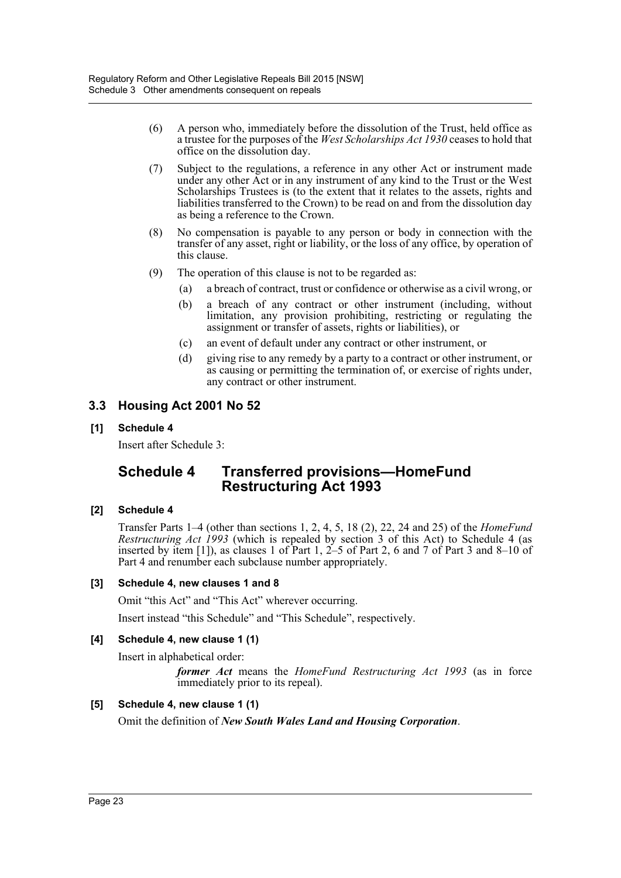- (6) A person who, immediately before the dissolution of the Trust, held office as a trustee for the purposes of the *West Scholarships Act 1930* ceases to hold that office on the dissolution day.
- (7) Subject to the regulations, a reference in any other Act or instrument made under any other Act or in any instrument of any kind to the Trust or the West Scholarships Trustees is (to the extent that it relates to the assets, rights and liabilities transferred to the Crown) to be read on and from the dissolution day as being a reference to the Crown.
- (8) No compensation is payable to any person or body in connection with the transfer of any asset, right or liability, or the loss of any office, by operation of this clause.
- (9) The operation of this clause is not to be regarded as:
	- (a) a breach of contract, trust or confidence or otherwise as a civil wrong, or
	- (b) a breach of any contract or other instrument (including, without limitation, any provision prohibiting, restricting or regulating the assignment or transfer of assets, rights or liabilities), or
	- (c) an event of default under any contract or other instrument, or
	- (d) giving rise to any remedy by a party to a contract or other instrument, or as causing or permitting the termination of, or exercise of rights under, any contract or other instrument.

## **3.3 Housing Act 2001 No 52**

#### **[1] Schedule 4**

Insert after Schedule 3:

## **Schedule 4 Transferred provisions—HomeFund Restructuring Act 1993**

#### **[2] Schedule 4**

Transfer Parts 1–4 (other than sections 1, 2, 4, 5, 18 (2), 22, 24 and 25) of the *HomeFund Restructuring Act 1993* (which is repealed by section 3 of this Act) to Schedule 4 (as inserted by item [1]), as clauses 1 of Part 1, 2–5 of Part 2, 6 and 7 of Part 3 and 8–10 of Part 4 and renumber each subclause number appropriately.

#### **[3] Schedule 4, new clauses 1 and 8**

Omit "this Act" and "This Act" wherever occurring.

Insert instead "this Schedule" and "This Schedule", respectively.

#### **[4] Schedule 4, new clause 1 (1)**

Insert in alphabetical order:

*former Act* means the *HomeFund Restructuring Act 1993* (as in force immediately prior to its repeal).

#### **[5] Schedule 4, new clause 1 (1)**

Omit the definition of *New South Wales Land and Housing Corporation*.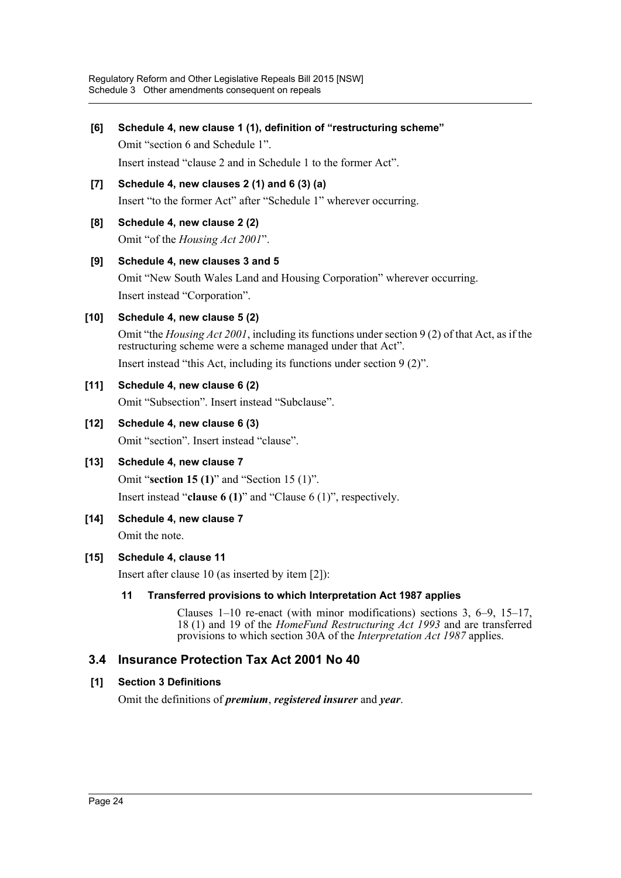**[6] Schedule 4, new clause 1 (1), definition of "restructuring scheme"** Omit "section 6 and Schedule 1".

Insert instead "clause 2 and in Schedule 1 to the former Act".

- **[7] Schedule 4, new clauses 2 (1) and 6 (3) (a)** Insert "to the former Act" after "Schedule 1" wherever occurring.
- **[8] Schedule 4, new clause 2 (2)**

Omit "of the *Housing Act 2001*".

#### **[9] Schedule 4, new clauses 3 and 5**

Omit "New South Wales Land and Housing Corporation" wherever occurring. Insert instead "Corporation".

**[10] Schedule 4, new clause 5 (2)**

Omit "the *Housing Act 2001*, including its functions under section 9 (2) of that Act, as if the restructuring scheme were a scheme managed under that Act".

Insert instead "this Act, including its functions under section 9 (2)".

#### **[11] Schedule 4, new clause 6 (2)**

Omit "Subsection". Insert instead "Subclause".

#### **[12] Schedule 4, new clause 6 (3)**

Omit "section". Insert instead "clause".

#### **[13] Schedule 4, new clause 7**

Omit "**section 15 (1)**" and "Section 15 (1)".

Insert instead "**clause 6 (1)**" and "Clause 6 (1)", respectively.

**[14] Schedule 4, new clause 7**

Omit the note.

#### **[15] Schedule 4, clause 11**

Insert after clause 10 (as inserted by item [2]):

#### **11 Transferred provisions to which Interpretation Act 1987 applies**

Clauses 1–10 re-enact (with minor modifications) sections 3, 6–9, 15–17, 18 (1) and 19 of the *HomeFund Restructuring Act 1993* and are transferred provisions to which section 30A of the *Interpretation Act 1987* applies.

## **3.4 Insurance Protection Tax Act 2001 No 40**

#### **[1] Section 3 Definitions**

Omit the definitions of *premium*, *registered insurer* and *year*.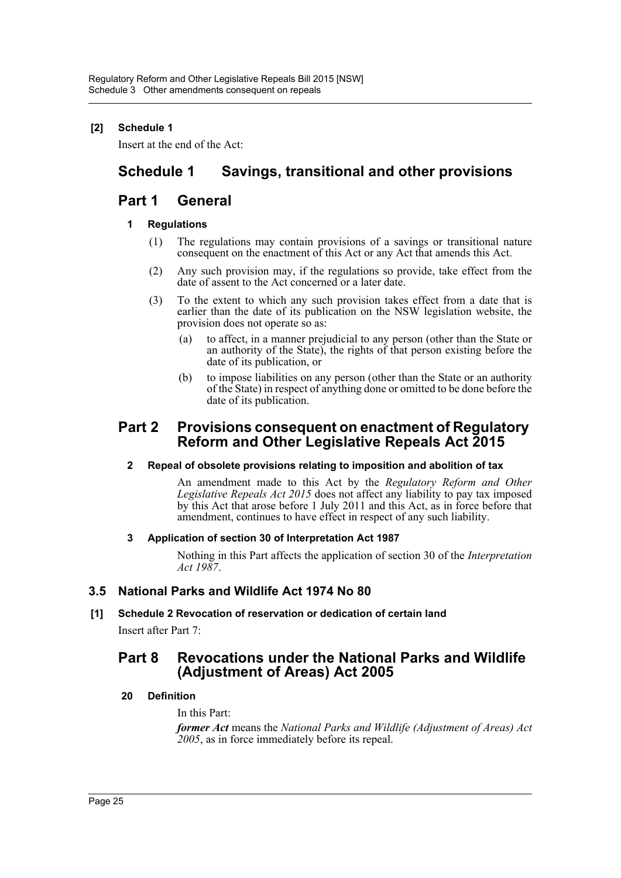### **[2] Schedule 1**

Insert at the end of the Act:

## **Schedule 1 Savings, transitional and other provisions**

## **Part 1 General**

#### **1 Regulations**

- (1) The regulations may contain provisions of a savings or transitional nature consequent on the enactment of this Act or any Act that amends this Act.
- (2) Any such provision may, if the regulations so provide, take effect from the date of assent to the Act concerned or a later date.
- (3) To the extent to which any such provision takes effect from a date that is earlier than the date of its publication on the NSW legislation website, the provision does not operate so as:
	- (a) to affect, in a manner prejudicial to any person (other than the State or an authority of the State), the rights of that person existing before the date of its publication, or
	- (b) to impose liabilities on any person (other than the State or an authority of the State) in respect of anything done or omitted to be done before the date of its publication.

## **Part 2 Provisions consequent on enactment of Regulatory Reform and Other Legislative Repeals Act 2015**

#### **2 Repeal of obsolete provisions relating to imposition and abolition of tax**

An amendment made to this Act by the *Regulatory Reform and Other Legislative Repeals Act 2015* does not affect any liability to pay tax imposed by this Act that arose before 1 July 2011 and this Act, as in force before that amendment, continues to have effect in respect of any such liability.

#### **3 Application of section 30 of Interpretation Act 1987**

Nothing in this Part affects the application of section 30 of the *Interpretation Act 1987*.

#### **3.5 National Parks and Wildlife Act 1974 No 80**

#### **[1] Schedule 2 Revocation of reservation or dedication of certain land**

Insert after Part 7:

## **Part 8 Revocations under the National Parks and Wildlife (Adjustment of Areas) Act 2005**

#### **20 Definition**

#### In this Part:

*former Act* means the *National Parks and Wildlife (Adjustment of Areas) Act 2005*, as in force immediately before its repeal.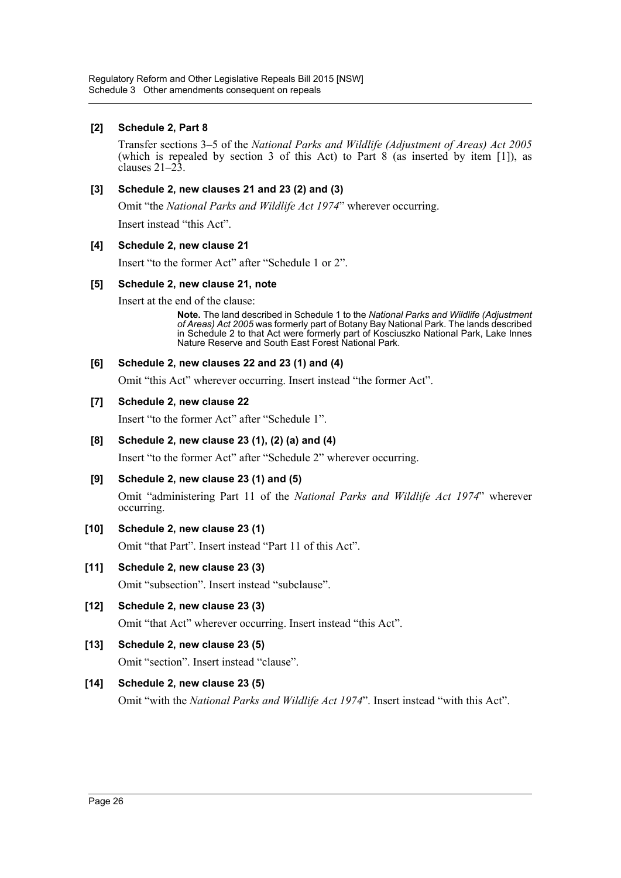#### **[2] Schedule 2, Part 8**

Transfer sections 3–5 of the *National Parks and Wildlife (Adjustment of Areas) Act 2005* (which is repealed by section 3 of this Act) to Part 8 (as inserted by item [1]), as clauses 21–23.

#### **[3] Schedule 2, new clauses 21 and 23 (2) and (3)**

Omit "the *National Parks and Wildlife Act 1974*" wherever occurring.

Insert instead "this Act".

#### **[4] Schedule 2, new clause 21**

Insert "to the former Act" after "Schedule 1 or 2".

#### **[5] Schedule 2, new clause 21, note**

Insert at the end of the clause:

**Note.** The land described in Schedule 1 to the *National Parks and Wildlife (Adjustment of Areas) Act 2005* was formerly part of Botany Bay National Park. The lands described in Schedule 2 to that Act were formerly part of Kosciuszko National Park, Lake Innes Nature Reserve and South East Forest National Park.

#### **[6] Schedule 2, new clauses 22 and 23 (1) and (4)**

Omit "this Act" wherever occurring. Insert instead "the former Act".

#### **[7] Schedule 2, new clause 22**

Insert "to the former Act" after "Schedule 1".

#### **[8] Schedule 2, new clause 23 (1), (2) (a) and (4)**

Insert "to the former Act" after "Schedule 2" wherever occurring.

#### **[9] Schedule 2, new clause 23 (1) and (5)**

Omit "administering Part 11 of the *National Parks and Wildlife Act 1974*" wherever occurring.

#### **[10] Schedule 2, new clause 23 (1)**

Omit "that Part". Insert instead "Part 11 of this Act".

#### **[11] Schedule 2, new clause 23 (3)**

Omit "subsection". Insert instead "subclause".

- **[12] Schedule 2, new clause 23 (3)** Omit "that Act" wherever occurring. Insert instead "this Act".
- **[13] Schedule 2, new clause 23 (5)** Omit "section". Insert instead "clause".

#### **[14] Schedule 2, new clause 23 (5)**

Omit "with the *National Parks and Wildlife Act 1974*". Insert instead "with this Act".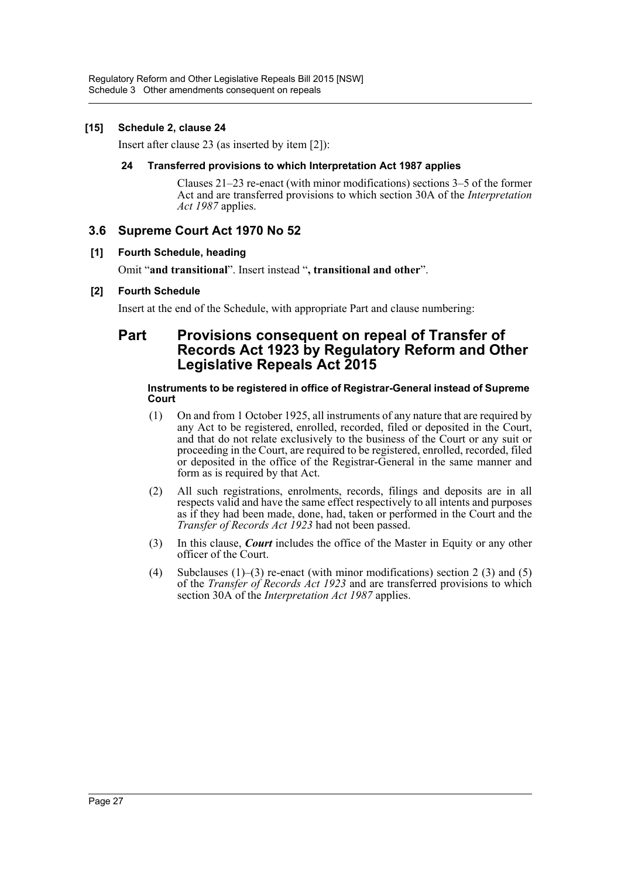#### **[15] Schedule 2, clause 24**

Insert after clause 23 (as inserted by item [2]):

#### **24 Transferred provisions to which Interpretation Act 1987 applies**

Clauses 21–23 re-enact (with minor modifications) sections 3–5 of the former Act and are transferred provisions to which section 30A of the *Interpretation Act 1987* applies.

### **3.6 Supreme Court Act 1970 No 52**

#### **[1] Fourth Schedule, heading**

Omit "**and transitional**". Insert instead "**, transitional and other**".

#### **[2] Fourth Schedule**

Insert at the end of the Schedule, with appropriate Part and clause numbering:

## **Part Provisions consequent on repeal of Transfer of Records Act 1923 by Regulatory Reform and Other Legislative Repeals Act 2015**

#### **Instruments to be registered in office of Registrar-General instead of Supreme Court**

- (1) On and from 1 October 1925, all instruments of any nature that are required by any Act to be registered, enrolled, recorded, filed or deposited in the Court, and that do not relate exclusively to the business of the Court or any suit or proceeding in the Court, are required to be registered, enrolled, recorded, filed or deposited in the office of the Registrar-General in the same manner and form as is required by that Act.
- (2) All such registrations, enrolments, records, filings and deposits are in all respects valid and have the same effect respectively to all intents and purposes as if they had been made, done, had, taken or performed in the Court and the *Transfer of Records Act 1923* had not been passed.
- (3) In this clause, *Court* includes the office of the Master in Equity or any other officer of the Court.
- (4) Subclauses (1)–(3) re-enact (with minor modifications) section 2 (3) and (5) of the *Transfer of Records Act 1923* and are transferred provisions to which section 30A of the *Interpretation Act 1987* applies.